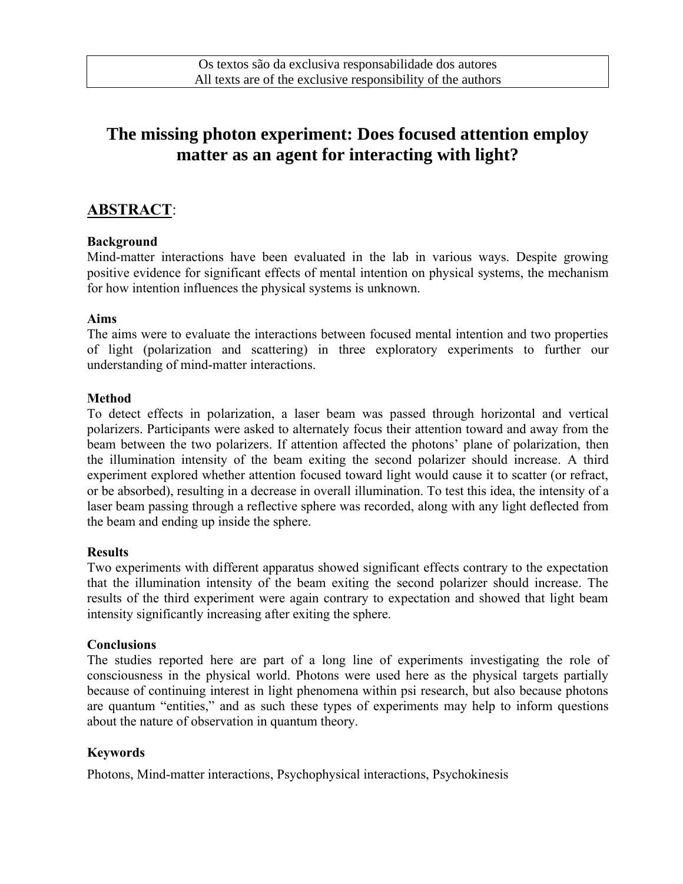# **The missing photon experiment: Does focused attention employ matter as an agent for interacting with light?**

### **ABSTRACT**:

#### **Background**

Mind-matter interactions have been evaluated in the lab in various ways. Despite growing positive evidence for significant effects of mental intention on physical systems, the mechanism for how intention influences the physical systems is unknown.

#### **Aims**

The aims were to evaluate the interactions between focused mental intention and two properties of light (polarization and scattering) in three exploratory experiments to further our understanding of mind-matter interactions.

#### **Method**

To detect effects in polarization, a laser beam was passed through horizontal and vertical polarizers. Participants were asked to alternately focus their attention toward and away from the beam between the two polarizers. If attention affected the photons' plane of polarization, then the illumination intensity of the beam exiting the second polarizer should increase. A third experiment explored whether attention focused toward light would cause it to scatter (or refract, or be absorbed), resulting in a decrease in overall illumination. To test this idea, the intensity of a laser beam passing through a reflective sphere was recorded, along with any light deflected from the beam and ending up inside the sphere.

#### **Results**

Two experiments with different apparatus showed significant effects contrary to the expectation that the illumination intensity of the beam exiting the second polarizer should increase. The results of the third experiment were again contrary to expectation and showed that light beam intensity significantly increasing after exiting the sphere.

#### **Conclusions**

The studies reported here are part of a long line of experiments investigating the role of consciousness in the physical world. Photons were used here as the physical targets partially because of continuing interest in light phenomena within psi research, but also because photons are quantum "entities," and as such these types of experiments may help to inform questions about the nature of observation in quantum theory.

### **Keywords**

Photons, Mind-matter interactions, Psychophysical interactions, Psychokinesis